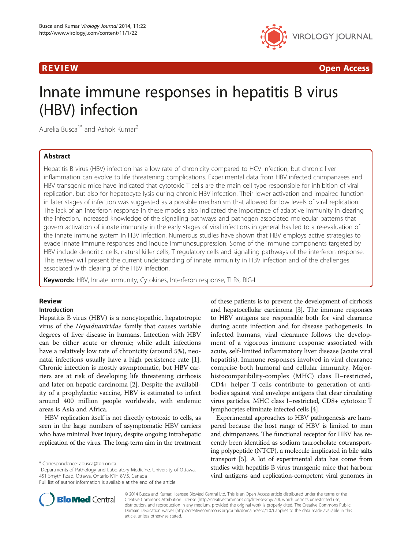

R EVI EW Open Access

# Innate immune responses in hepatitis B virus (HBV) infection

Aurelia Busca<sup>1\*</sup> and Ashok Kumar<sup>2</sup>

# Abstract

Hepatitis B virus (HBV) infection has a low rate of chronicity compared to HCV infection, but chronic liver inflammation can evolve to life threatening complications. Experimental data from HBV infected chimpanzees and HBV transgenic mice have indicated that cytotoxic T cells are the main cell type responsible for inhibition of viral replication, but also for hepatocyte lysis during chronic HBV infection. Their lower activation and impaired function in later stages of infection was suggested as a possible mechanism that allowed for low levels of viral replication. The lack of an interferon response in these models also indicated the importance of adaptive immunity in clearing the infection. Increased knowledge of the signalling pathways and pathogen associated molecular patterns that govern activation of innate immunity in the early stages of viral infections in general has led to a re-evaluation of the innate immune system in HBV infection. Numerous studies have shown that HBV employs active strategies to evade innate immune responses and induce immunosuppression. Some of the immune components targeted by HBV include dendritic cells, natural killer cells, T regulatory cells and signalling pathways of the interferon response. This review will present the current understanding of innate immunity in HBV infection and of the challenges associated with clearing of the HBV infection.

Keywords: HBV, Innate immunity, Cytokines, Interferon response, TLRs, RIG-I

### Review

### Introduction

Hepatitis B virus (HBV) is a noncytopathic, hepatotropic virus of the Hepadnaviridae family that causes variable degrees of liver disease in humans. Infection with HBV can be either acute or chronic; while adult infections have a relatively low rate of chronicity (around 5%), neonatal infections usually have a high persistence rate [\[1](#page-5-0)]. Chronic infection is mostly asymptomatic, but HBV carriers are at risk of developing life threatening cirrhosis and later on hepatic carcinoma [[2\]](#page-5-0). Despite the availability of a prophylactic vaccine, HBV is estimated to infect around 400 million people worldwide, with endemic areas is Asia and Africa.

HBV replication itself is not directly cytotoxic to cells, as seen in the large numbers of asymptomatic HBV carriers who have minimal liver injury, despite ongoing intrahepatic replication of the virus. The long-term aim in the treatment

<sup>1</sup>Departments of Pathology and Laboratory Medicine, University of Ottawa, 451 Smyth Road, Ottawa, Ontario K1H 8M5, Canada

of these patients is to prevent the development of cirrhosis and hepatocellular carcinoma [\[3\]](#page-5-0). The immune responses to HBV antigens are responsible both for viral clearance during acute infection and for disease pathogenesis. In infected humans, viral clearance follows the development of a vigorous immune response associated with acute, self-limited inflammatory liver disease (acute viral hepatitis). Immune responses involved in viral clearance comprise both humoral and cellular immunity. Majorhistocompatibility-complex (MHC) class II–restricted, CD4+ helper T cells contribute to generation of antibodies against viral envelope antigens that clear circulating virus particles. MHC class I–restricted, CD8+ cytotoxic T lymphocytes eliminate infected cells [\[4\]](#page-5-0).

Experimental approaches to HBV pathogenesis are hampered because the host range of HBV is limited to man and chimpanzees. The functional receptor for HBV has recently been identified as sodium taurocholate cotransporting polypeptide (NTCP), a molecule implicated in bile salts transport [\[5](#page-5-0)]. A lot of experimental data has come from studies with hepatitis B virus transgenic mice that harbour viral antigens and replication-competent viral genomes in



© 2014 Busca and Kumar; licensee BioMed Central Ltd. This is an Open Access article distributed under the terms of the Creative Commons Attribution License (<http://creativecommons.org/licenses/by/2.0>), which permits unrestricted use, distribution, and reproduction in any medium, provided the original work is properly cited. The Creative Commons Public Domain Dedication waiver [\(http://creativecommons.org/publicdomain/zero/1.0/\)](http://creativecommons.org/publicdomain/zero/1.0/) applies to the data made available in this article, unless otherwise stated.

<sup>\*</sup> Correspondence: [abusca@toh.on.ca](mailto:abusca@toh.on.ca) <sup>1</sup>

Full list of author information is available at the end of the article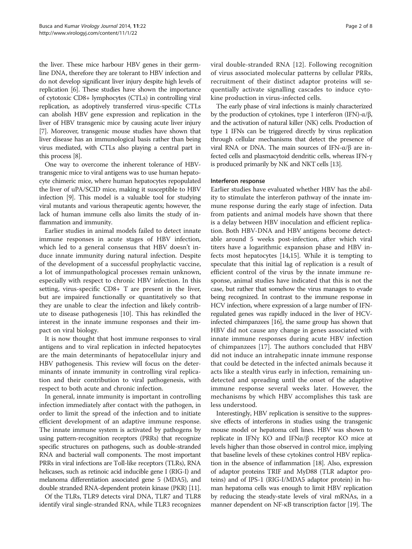the liver. These mice harbour HBV genes in their germline DNA, therefore they are tolerant to HBV infection and do not develop significant liver injury despite high levels of replication [\[6](#page-5-0)]. These studies have shown the importance of cytotoxic CD8+ lymphocytes (CTLs) in controlling viral replication, as adoptively transferred virus-specific CTLs can abolish HBV gene expression and replication in the liver of HBV transgenic mice by causing acute liver injury [[7](#page-5-0)]. Moreover, transgenic mouse studies have shown that liver disease has an immunological basis rather than being virus mediated, with CTLs also playing a central part in this process [[8](#page-5-0)].

One way to overcome the inherent tolerance of HBVtransgenic mice to viral antigens was to use human hepatocyte chimeric mice, where human hepatocytes repopulated the liver of uPA/SCID mice, making it susceptible to HBV infection [\[9\]](#page-5-0). This model is a valuable tool for studying viral mutants and various therapeutic agents; however, the lack of human immune cells also limits the study of inflammation and immunity.

Earlier studies in animal models failed to detect innate immune responses in acute stages of HBV infection, which led to a general consensus that HBV doesn't induce innate immunity during natural infection. Despite of the development of a successful prophylactic vaccine, a lot of immunpathological processes remain unknown, especially with respect to chronic HBV infection. In this setting, virus-specific CD8+ T are present in the liver, but are impaired functionally or quantitatively so that they are unable to clear the infection and likely contribute to disease pathogenesis [\[10](#page-5-0)]. This has rekindled the interest in the innate immune responses and their impact on viral biology.

It is now thought that host immune responses to viral antigens and to viral replication in infected hepatocytes are the main determinants of hepatocellular injury and HBV pathogenesis. This review will focus on the determinants of innate immunity in controlling viral replication and their contribution to viral pathogenesis, with respect to both acute and chronic infection.

In general, innate immunity is important in controlling infection immediately after contact with the pathogen, in order to limit the spread of the infection and to initiate efficient development of an adaptive immune response. The innate immune system is activated by pathogens by using pattern-recognition receptors (PRRs) that recognize specific structures on pathogens, such as double-stranded RNA and bacterial wall components. The most important PRRs in viral infections are Toll-like receptors (TLRs), RNA helicases, such as retinoic acid inducible gene I (RIG-I) and melanoma differentiation associated gene 5 (MDA5), and double stranded RNA-dependent protein kinase (PKR) [\[11](#page-5-0)].

Of the TLRs, TLR9 detects viral DNA, TLR7 and TLR8 identify viral single-stranded RNA, while TLR3 recognizes viral double-stranded RNA [[12\]](#page-5-0). Following recognition of virus associated molecular patterns by cellular PRRs, recruitment of their distinct adaptor proteins will sequentially activate signalling cascades to induce cytokine production in virus-infected cells.

The early phase of viral infections is mainly characterized by the production of cytokines, type 1 interferon (IFN)-α/β, and the activation of natural killer (NK) cells. Production of type 1 IFNs can be triggered directly by virus replication through cellular mechanisms that detect the presence of viral RNA or DNA. The main sources of IFN-α/β are infected cells and plasmacytoid dendritic cells, whereas IFN-γ is produced primarily by NK and NKT cells [\[13\]](#page-5-0).

#### Interferon response

Earlier studies have evaluated whether HBV has the ability to stimulate the interferon pathway of the innate immune response during the early stage of infection. Data from patients and animal models have shown that there is a delay between HBV inoculation and efficient replication. Both HBV-DNA and HBV antigens become detectable around 5 weeks post-infection, after which viral titers have a logarithmic expansion phase and HBV infects most hepatocytes [[14,15\]](#page-5-0). While it is tempting to speculate that this initial lag of replication is a result of efficient control of the virus by the innate immune response, animal studies have indicated that this is not the case, but rather that somehow the virus manages to evade being recognized. In contrast to the immune response in HCV infection, where expression of a large number of IFNregulated genes was rapidly induced in the liver of HCVinfected chimpanzees [\[16\]](#page-5-0), the same group has shown that HBV did not cause any change in genes associated with innate immune responses during acute HBV infection of chimpanzees [[17](#page-5-0)]. The authors concluded that HBV did not induce an intrahepatic innate immune response that could be detected in the infected animals because it acts like a stealth virus early in infection, remaining undetected and spreading until the onset of the adaptive immune response several weeks later. However, the mechanisms by which HBV accomplishes this task are less understood.

Interestingly, HBV replication is sensitive to the suppressive effects of interferons in studies using the transgenic mouse model or hepatoma cell lines. HBV was shown to replicate in IFNγ KO and IFNα/β receptor KO mice at levels higher than those observed in control mice, implying that baseline levels of these cytokines control HBV replication in the absence of inflammation [[18](#page-5-0)]. Also, expression of adaptor proteins TRIF and MyD88 (TLR adaptor proteins) and of IPS-1 (RIG-I/MDA5 adaptor protein) in human hepatoma cells was enough to limit HBV replication by reducing the steady-state levels of viral mRNAs, in a manner dependent on NF-κB transcription factor [[19](#page-5-0)]. The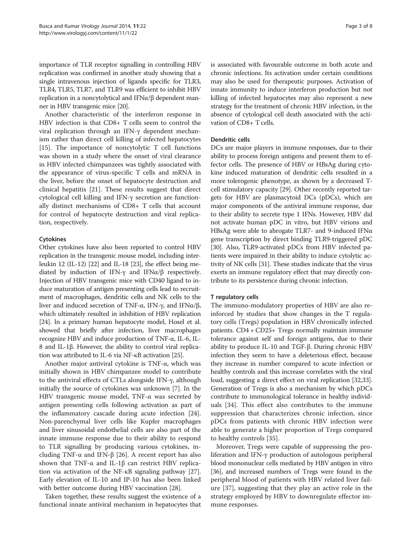importance of TLR receptor signalling in controlling HBV replication was confirmed in another study showing that a single intravenous injection of ligands specific for TLR3, TLR4, TLR5, TLR7, and TLR9 was efficient to inhibit HBV replication in a noncytolytical and IFNα/β dependent manner in HBV transgenic mice [[20](#page-6-0)].

Another characteristic of the interferon response in HBV infection is that CD8+ T cells seem to control the viral replication through an IFN-γ dependent mechanism rather than direct cell killing of infected hepatocytes [[15\]](#page-5-0). The importance of noncytolytic T cell functions was shown in a study where the onset of viral clearance in HBV infected chimpanzees was tightly associated with the appearance of virus-specific T cells and mRNA in the liver, before the onset of hepatocyte destruction and clinical hepatitis [\[21](#page-6-0)]. These results suggest that direct cytological cell killing and IFN-γ secretion are functionally distinct mechanisms of CD8+ T cells that account for control of hepatocyte destruction and viral replication, respectively.

# Cytokines

Other cytokines have also been reported to control HBV replication in the transgenic mouse model, including interleukin 12 (IL-12) [[22](#page-6-0)] and IL-18 [\[23\]](#page-6-0), the effect being mediated by induction of IFN-γ and IFN $α/β$  respectively. Injection of HBV transgenic mice with CD40 ligand to induce maturation of antigen presenting cells lead to recruitment of macrophages, dendritic cells and NK cells to the liver and induced secretion of TNF-α, IFN-γ, and IFNα/β, which ultimately resulted in inhibition of HBV replication [[24](#page-6-0)]. In a primary human hepatocyte model, Hosel et al. showed that briefly after infection, liver macrophages recognize HBV and induce production of TNF-α, IL-6, IL-8 and IL-1β. However, the ability to control viral replication was attributed to IL-6 via NF-κB activation [\[25\]](#page-6-0).

Another major antiviral cytokine is  $TNF-\alpha$ , which was initially shown in HBV chimpanzee model to contribute to the antiviral effects of CTLs alongside IFN-γ, although initially the source of cytokines was unknown [\[7](#page-5-0)]. In the HBV transgenic mouse model, TNF-α was secreted by antigen presenting cells following activation as part of the inflammatory cascade during acute infection [\[24](#page-6-0)]. Non-parenchymal liver cells like Kupfer macrophages and liver sinusoidal endothelial cells are also part of the innate immune response due to their ability to respond to TLR signalling by producing various cytokines, including TNF- $\alpha$  and IFN- $\beta$  [\[26\]](#page-6-0). A recent report has also shown that TNF-α and IL-1β can restrict HBV replication via activation of the NF-κB signaling pathway [\[27](#page-6-0)]. Early elevation of IL-10 and IP-10 has also been linked with better outcome during HBV vaccination [[28\]](#page-6-0).

Taken together, these results suggest the existence of a functional innate antiviral mechanism in hepatocytes that is associated with favourable outcome in both acute and chronic infections. Its activation under certain conditions may also be used for therapeutic purposes. Activation of innate immunity to induce interferon production but not killing of infected hepatocytes may also represent a new strategy for the treatment of chronic HBV infection, in the absence of cytological cell death associated with the activation of CD8+ T cells.

# Dendritic cells

DCs are major players in immune responses, due to their ability to process foreign antigens and present them to effector cells. The presence of HBV or HBsAg during cytokine induced maturation of dendritic cells resulted in a more tolerogenic phenotype, as shown by a decreased Tcell stimulatory capacity [[29](#page-6-0)]. Other recently reported targets for HBV are plasmacytoid DCs (pDCs), which are major components of the antiviral immune response, due to their ability to secrete type 1 IFNs. However, HBV did not activate human pDC in vitro, but HBV virions and HBsAg were able to abrogate TLR7- and 9-induced IFNα gene transcription by direct binding TLR9-triggered pDC [[30](#page-6-0)]. Also, TLR9-activated pDCs from HBV infected patients were impaired in their ability to induce cytolytic activity of NK cells [\[31\]](#page-6-0). These studies indicate that the virus exerts an immune regulatory effect that may directly contribute to its persistence during chronic infection.

# T regulatory cells

The immuno-modulatory properties of HBV are also reinforced by studies that show changes in the T regulatory cells (Tregs) population in HBV chronically infected patients. CD4 + CD25+ Tregs normally maintain immune tolerance against self and foreign antigens, due to their ability to produce IL-10 and TGF-β. During chronic HBV infection they seem to have a deleterious effect, because they increase in number compared to acute infection or healthy controls and this increase correlates with the viral load, suggesting a direct effect on viral replication [\[32,33](#page-6-0)]. Generation of Tregs is also a mechanism by which pDCs contribute to immunological tolerance in healthy individuals [[34\]](#page-6-0). This effect also contributes to the immune suppression that characterizes chronic infection, since pDCs from patients with chronic HBV infection were able to generate a higher proportion of Tregs compared to healthy controls [[35](#page-6-0)].

Moreover, Tregs were capable of suppressing the proliferation and IFN-γ production of autologous peripheral blood mononuclear cells mediated by HBV antigen in vitro [[36](#page-6-0)], and increased numbers of Tregs were found in the peripheral blood of patients with HBV related liver failure [\[37](#page-6-0)], suggesting that they play an active role in the strategy employed by HBV to downregulate effector immune responses.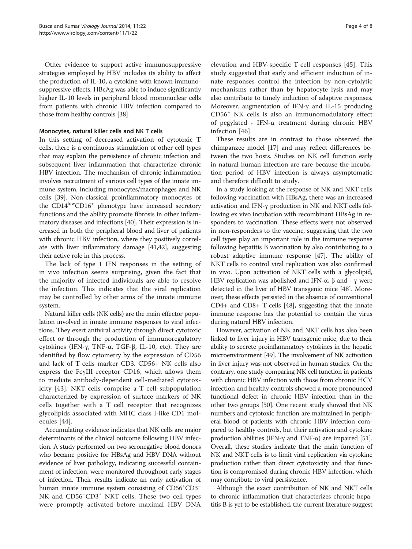Other evidence to support active immunosuppressive strategies employed by HBV includes its ability to affect the production of IL-10, a cytokine with known immunosuppressive effects. HBcAg was able to induce significantly higher IL-10 levels in peripheral blood mononuclear cells from patients with chronic HBV infection compared to those from healthy controls [[38](#page-6-0)].

## Monocytes, natural killer cells and NK T cells

In this setting of decreased activation of cytotoxic T cells, there is a continuous stimulation of other cell types that may explain the persistence of chronic infection and subsequent liver inflammation that characterize chronic HBV infection. The mechanism of chronic inflammation involves recruitment of various cell types of the innate immune system, including monocytes/macrophages and NK cells [\[39](#page-6-0)]. Non-classical proinflammatory monocytes of the CD14<sup>low</sup>CD16<sup>+</sup> phenotype have increased secretory functions and the ability promote fibrosis in other inflammatory diseases and infections [[40](#page-6-0)]. Their expression is increased in both the peripheral blood and liver of patients with chronic HBV infection, where they positively correlate with liver inflammatory damage [\[41,42](#page-6-0)], suggesting their active role in this process.

The lack of type 1 IFN responses in the setting of in vivo infection seems surprising, given the fact that the majority of infected individuals are able to resolve the infection. This indicates that the viral replication may be controlled by other arms of the innate immune system.

Natural killer cells (NK cells) are the main effector population involved in innate immune responses to viral infections. They exert antiviral activity through direct cytotoxic effect or through the production of immunoregulatory cytokines (IFN-γ, TNF-α, TGF-β, IL-10, etc). They are identified by flow cytometry by the expression of CD56 and lack of T cells marker CD3. CD56+ NK cells also express the FcγIII receptor CD16, which allows them to mediate antibody-dependent cell-mediated cytotoxicity [\[43](#page-6-0)]. NKT cells comprise a T cell subpopulation characterized by expression of surface markers of NK cells together with a T cell receptor that recognizes glycolipids associated with MHC class I-like CD1 molecules [[44](#page-6-0)].

Accumulating evidence indicates that NK cells are major determinants of the clinical outcome following HBV infection. A study performed on two seronegative blood donors who became positive for HBsAg and HBV DNA without evidence of liver pathology, indicating successful containment of infection, were monitored throughout early stages of infection. Their results indicate an early activation of human innate immune system consisting of CD56<sup>+</sup>CD3<sup>-</sup> NK and CD56<sup>+</sup>CD3<sup>+</sup> NKT cells. These two cell types were promptly activated before maximal HBV DNA

elevation and HBV-specific T cell responses [[45\]](#page-6-0). This study suggested that early and efficient induction of innate responses control the infection by non-cytolytic mechanisms rather than by hepatocyte lysis and may also contribute to timely induction of adaptive responses. Moreover, augmentation of IFN-γ and IL-15 producing CD56<sup>+</sup> NK cells is also an immunomodulatory effect of pegylated - IFN-α treatment during chronic HBV infection [\[46\]](#page-6-0).

These results are in contrast to those observed the chimpanzee model [\[17\]](#page-5-0) and may reflect differences between the two hosts. Studies on NK cell function early in natural human infection are rare because the incubation period of HBV infection is always asymptomatic and therefore difficult to study.

In a study looking at the response of NK and NKT cells following vaccination with HBsAg, there was an increased activation and IFN-γ production in NK and NKT cells following ex vivo incubation with recombinant HBsAg in responders to vaccination. These effects were not observed in non-responders to the vaccine, suggesting that the two cell types play an important role in the immune response following hepatitis B vaccination by also contributing to a robust adaptive immune response [\[47](#page-6-0)]. The ability of NKT cells to control viral replication was also confirmed in vivo. Upon activation of NKT cells with a glycolipid, HBV replication was abolished and IFN- $\alpha$ , β and - γ were detected in the liver of HBV transgenic mice [[48](#page-6-0)]. Moreover, these effects persisted in the absence of conventional CD4+ and CD8+ T cells [\[48\]](#page-6-0), suggesting that the innate immune response has the potential to contain the virus during natural HBV infection.

However, activation of NK and NKT cells has also been linked to liver injury in HBV transgenic mice, due to their ability to secrete proinflammatory cytokines in the hepatic microenvironment [[49](#page-6-0)]. The involvement of NK activation in liver injury was not observed in human studies. On the contrary, one study comparing NK cell function in patients with chronic HBV infection with those from chronic HCV infection and healthy controls showed a more pronounced functional defect in chronic HBV infection than in the other two groups [[50](#page-6-0)]. One recent study showed that NK numbers and cytotoxic function are maintained in peripheral blood of patients with chronic HBV infection compared to healthy controls, but their activation and cytokine production abilities (IFN-γ and TNF-α) are impaired [[51](#page-6-0)]. Overall, these studies indicate that the main function of NK and NKT cells is to limit viral replication via cytokine production rather than direct cytotoxicity and that function is compromised during chronic HBV infection, which may contribute to viral persistence.

Although the exact contribution of NK and NKT cells to chronic inflammation that characterizes chronic hepatitis B is yet to be established, the current literature suggest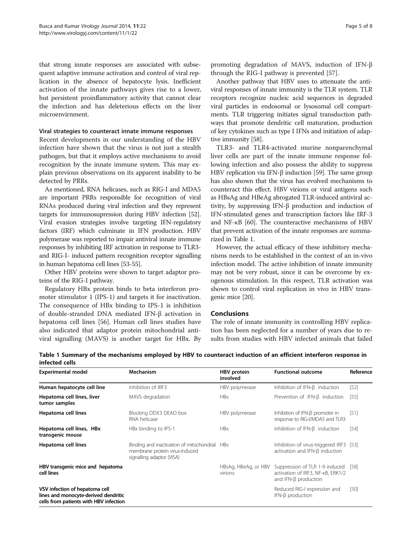that strong innate responses are associated with subsequent adaptive immune activation and control of viral replication in the absence of hepatocyte lysis. Inefficient activation of the innate pathways gives rise to a lower, but persistent proinflammatory activity that cannot clear the infection and has deleterious effects on the liver microenvirnment.

### Viral strategies to counteract innate immune responses

Recent developments in our understanding of the HBV infection have shown that the virus is not just a stealth pathogen, but that it employs active mechanisms to avoid recognition by the innate immune system. This may explain previous observations on its apparent inability to be detected by PRRs.

As mentioned, RNA helicases, such as RIG-I and MDA5 are important PRRs responsible for recognition of viral RNAs produced during viral infection and they represent targets for immunosupression during HBV infection [\[52](#page-6-0)]. Viral evasion strategies involve targeting IFN-regulatory factors (IRF) which culminate in IFN production. HBV polymerase was reported to impair antiviral innate immune responses by inhibiting IRF activation in response to TLR3 and RIG-I- induced pattern recognition receptor signalling in human hepatoma cell lines [[53](#page-6-0)-[55](#page-6-0)].

Other HBV proteins were shown to target adaptor proteins of the RIG-I pathway.

Regulatory HBx protein binds to beta interferon promoter stimulator 1 (IPS-1) and targets it for inactivation. The consequence of HBx binding to IPS-1 is inhibition of double-stranded DNA mediated IFN-β activation in hepatoma cell lines [[56\]](#page-6-0). Human cell lines studies have also indicated that adaptor protein mitochondrial antiviral signalling (MAVS) is another target for HBx. By promoting degradation of MAVS, induction of IFN-β through the RIG-I pathway is prevented [\[57\]](#page-6-0).

Another pathway that HBV uses to attenuate the antiviral responses of innate immunity is the TLR system. TLR receptors recognize nucleic acid sequences in degraded viral particles in endosomal or lysosomal cell compartments. TLR triggering initiates signal transduction pathways that promote dendritic cell maturation, production of key cytokines such as type I IFNs and initiation of adaptive immunity [\[58\]](#page-6-0).

TLR3- and TLR4-activated murine nonparenchymal liver cells are part of the innate immune response following infection and also possess the ability to suppress HBV replication via IFN-β induction [\[59\]](#page-6-0). The same group has also shown that the virus has evolved mechanisms to counteract this effect. HBV virions or viral antigens such as HBsAg and HBeAg abrogated TLR-induced antiviral activity, by suppressing IFN-β production and induction of IFN-stimulated genes and transcription factors like IRF-3 and NF-κB [\[60\]](#page-7-0). The counteractive mechanisms of HBV that prevent activation of the innate responses are summarized in Table 1.

However, the actual efficacy of these inhibitory mechanisms needs to be established in the context of an in-vivo infection model. The active inhibition of innate immunity may not be very robust, since it can be overcome by exogenous stimulation. In this respect, TLR activation was shown to control viral replication in vivo in HBV transgenic mice [\[20\]](#page-6-0).

# Conclusions

The role of innate immunity in controlling HBV replication has been neglected for a number of years due to results from studies with HBV infected animals that failed

| <b>Experimental model</b>                                                                                        | Mechanism                                                                                                | HBV protein<br>involved         | <b>Functional outcome</b>                                                                   | Reference |
|------------------------------------------------------------------------------------------------------------------|----------------------------------------------------------------------------------------------------------|---------------------------------|---------------------------------------------------------------------------------------------|-----------|
| Human hepatocyte cell line                                                                                       | Inhibition of IRE3                                                                                       | HBV polymerase                  | Inhibition of $IFN-\beta$ induction                                                         | [52]      |
| Hepatoma cell lines, liver<br>tumor samples                                                                      | MAVS degradation                                                                                         | <b>HB</b> <sub>x</sub>          | Prevention of $IFN-\beta$ induction                                                         | [55]      |
| Hepatoma cell lines                                                                                              | Blocking DDX3 DEAD box<br>RNA helicase                                                                   | HBV polymerase                  | Inhibition of $IFN-\beta$ promoter in<br>response to RIG-I/MDA5 and TLR3                    | [51]      |
| Hepatoma cell lines, HBx<br>transgenic mouse                                                                     | HBx binding to IPS-1                                                                                     | <b>HB</b> <sub>x</sub>          | Inhibition of $IFN-\beta$ induction                                                         | [54]      |
| Hepatoma cell lines                                                                                              | Binding and inactivation of mitochondrial<br>membrane protein virus-induced<br>signalling adaptor (VISA) | <b>HB</b> x                     | Inhibition of virus-triggered IRF3<br>activation and IFN-β induction                        | [53]      |
| HBV transgenic mice and hepatoma<br>cell lines                                                                   |                                                                                                          | HBsAg, HBeAg, or HBV<br>virions | Suppression of TLR 1-9 induced<br>activation of IRF3, NF-KB, ERK1/2<br>and IFN-β production | [58]      |
| VSV infection of hepatoma cell<br>lines and monocyte-derived dendritic<br>cells from patients with HBV infection |                                                                                                          |                                 | Reduced RIG-I expression and<br>IFN- $\beta$ production                                     | [50]      |

Table 1 Summary of the mechanisms employed by HBV to counteract induction of an efficient interferon response in infected cells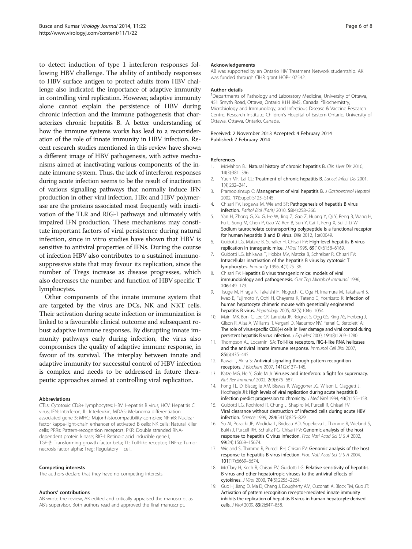<span id="page-5-0"></span>to detect induction of type 1 interferon responses following HBV challenge. The ability of antibody responses to HBV surface antigen to protect adults from HBV challenge also indicated the importance of adaptive immunity in controlling viral replication. However, adaptive immunity alone cannot explain the persistence of HBV during chronic infection and the immune pathogenesis that characterizes chronic hepatitis B. A better understanding of how the immune systems works has lead to a reconsideration of the role of innate immunity in HBV infection. Recent research studies mentioned in this review have shown a different image of HBV pathogenesis, with active mechanisms aimed at inactivating various components of the innate immune system. Thus, the lack of interferon responses during acute infection seems to be the result of inactivation of various signalling pathways that normally induce IFN production in other viral infection. HBx and HBV polymerase are the proteins associated most frequently with inactivation of the TLR and RIG-I pathways and ultimately with impaired IFN production. These mechanisms may constitute important factors of viral persistence during natural infection, since in vitro studies have shown that HBV is sensitive to antiviral properties of IFNs. During the course of infection HBV also contributes to a sustained immunosuppressive state that may favour its replication, since the number of Tregs increase as disease progresses, which also decreases the number and function of HBV specific T lymphocytes.

Other components of the innate immune system that are targeted by the virus are DCs, NK and NKT cells. Their activation during acute infection or immunization is linked to a favourable clinical outcome and subsequent robust adaptive immune responses. By disrupting innate immunity pathways early during infection, the virus also compromises the quality of adaptive immune response, in favour of its survival. The interplay between innate and adaptive immunity for successful control of HBV infection is complex and needs to be addressed in future therapeutic approaches aimed at controlling viral replication.

#### Abbreviations

CTLs: Cytotoxic CD8+ lymphocytes; HBV: Hepatitis B virus; HCV: Hepatitis C virus; IFN: Interferon; IL: Interleukin; MDA5: Melanoma differentiation associated gene 5; MHC: Major-histocompatibility-complex; NF-κB: Nuclear factor kappa-light-chain enhancer of activated B cells; NK cells: Natural killer cells; PRRs: Pattern-recognition receptors; PKR: Double stranded RNAdependent protein kinase; RIG-I: Retinoic acid inducible gene I; TGF-β: Transforming growth factor beta; TL: Toll-like receptor; TNF-α: Tumor necrosis factor alpha; Treg: Regulatory T cell.

#### Competing interests

The authors declare that they have no competing interests.

#### Authors' contributions

AB wrote the review, AK edited and critically appraised the manuscript as AB's supervisor. Both authors read and approved the final manuscript.

#### Acknowledgements

AB was supported by an Ontario HIV Treatment Network studentship. AK was funded through CIHR grant HOP-107542.

#### Author details

<sup>1</sup>Departments of Pathology and Laboratory Medicine, University of Ottawa, 451 Smyth Road, Ottawa, Ontario K1H 8M5, Canada. <sup>2</sup>Biochemistry, Microbiology and Immunology, and Infectious Disease & Vaccine Research Centre, Research Institute, Children's Hospital of Eastern Ontario, University of Ottawa, Ottawa, Ontario, Canada.

#### Received: 2 November 2013 Accepted: 4 February 2014 Published: 7 February 2014

#### References

- 1. McMahon BJ: Natural history of chronic hepatitis B. Clin Liver Dis 2010, 14(3):381–396.
- 2. Yuen MF, Lai CL: Treatment of chronic hepatitis B. Lancet Infect Dis 2001, 1(4):232–241.
- 3. Pramoolsinsup C: Management of viral hepatitis B. J Gastroenterol Hepatol 2002, 17(Suppl):S125–S145.
- 4. Chisari FV, Isogawa M, Wieland SF: Pathogenesis of hepatitis B virus infection. Pathol Biol (Paris) 2010, 58(4):258–266.
- 5. Yan H, Zhong G, Xu G, He W, Jing Z, Gao Z, Huang Y, Qi Y, Peng B, Wang H, Fu L, Song M, Chen P, Gao W, Ren B, Sun Y, Cai T, Feng X, Sui J, Li W: Sodium taurocholate cotransporting polypeptide is a functional receptor for human hepatitis B and D virus. Elife 2012, 1:e00049.
- 6. Guidotti LG, Matzke B, Schaller H, Chisari FV: High-level hepatitis B virus replication in transgenic mice. J Virol 1995, 69(10):6158–6169.
- 7. Guidotti LG, Ishikawa T, Hobbs MV, Matzke B, Schreiber R, Chisari FV: Intracellular inactivation of the hepatitis B virus by cytotoxic T lymphocytes. Immunity 1996, 4(1):25–36.
- 8. Chisari FV: Hepatitis B virus transgenic mice: models of viral immunobiology and pathogenesis. Curr Top Microbiol Immunol 1996, 206:149–173.
- Tsuge M, Hiraga N, Takaishi H, Noguchi C, Oga H, Imamura M, Takahashi S, Iwao E, Fujimoto Y, Ochi H, Chayama K, Tateno C, Yoshizato K: Infection of human hepatocyte chimeric mouse with genetically engineered hepatitis B virus. Hepatology 2005, 42(5):1046–1054.
- 10. Maini MK, Boni C, Lee CK, Larrubia JR, Reignat S, Ogg GS, King AS, Herberg J, Gilson R, Alisa A, Williams R, Vergani D, Naoumov NV, Ferrari C, Bertoletti A: The role of virus-specific CD8(+) cells in liver damage and viral control during persistent hepatitis B virus infection. J Exp Med 2000, 191(8):1269-1280.
- 11. Thompson AJ, Locarnini SA: Toll-like receptors, RIG-I-like RNA helicases and the antiviral innate immune response. Immunol Cell Biol 2007, 85(6):435–445.
- 12. Kawai T, Akira S: Antiviral signaling through pattern recognition receptors. J Biochem 2007, 141(2):137–145.
- 13. Katze MG, He Y, Gale M Jr: Viruses and interferon: a fight for supremacy. Nat Rev Immunol 2002, 2(9):675–687.
- 14. Fong TL, Di Bisceglie AM, Biswas R, Waggoner JG, Wilson L, Claggett J, Hoofnagle JH: High levels of viral replication during acute hepatitis B infection predict progression to chronicity. J Med Virol 1994, 43(2):155-158.
- 15. Guidotti LG, Rochford R, Chung J, Shapiro M, Purcell R, Chisari FV: Viral clearance without destruction of infected cells during acute HBV infection. Science 1999, 284(5415):825–829.
- 16. Su AI, Pezacki JP, Wodicka L, Brideau AD, Supekova L, Thimme R, Wieland S, Bukh J, Purcell RH, Schultz PG, Chisari FV: Genomic analysis of the host response to hepatitis C virus infection. Proc Natl Acad Sci U S A 2002, 99(24):15669–15674.
- 17. Wieland S, Thimme R, Purcell RH, Chisari FV: Genomic analysis of the host response to hepatitis B virus infection. Proc Natl Acad Sci U S A 2004, 101(17):6669–6674.
- 18. McClary H, Koch R, Chisari FV, Guidotti LG: Relative sensitivity of hepatitis B virus and other hepatotropic viruses to the antiviral effects of cytokines. J Virol 2000, 74(5):2255–2264.
- 19. Guo H, Jiang D, Ma D, Chang J, Dougherty AM, Cuconati A, Block TM, Guo JT: Activation of pattern recognition receptor-mediated innate immunity inhibits the replication of hepatitis B virus in human hepatocyte-derived cells. J Virol 2009, 83(2):847–858.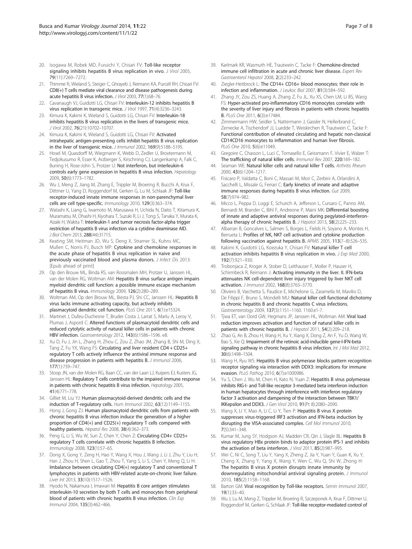- <span id="page-6-0"></span>20. Isogawa M, Robek MD, Furuichi Y, Chisari FV: Toll-like receptor signaling inhibits hepatitis B virus replication in vivo. J Virol 2005, 79(11):7269–7272.
- 21. Thimme R, Wieland S, Steiger C, Ghrayeb J, Reimann KA, Purcell RH, Chisari FV: CD8(+) T cells mediate viral clearance and disease pathogenesis during acute hepatitis B virus infection. J Virol 2003, 77(1):68–76.
- 22. Cavanaugh VJ, Guidotti LG, Chisari FV: Interleukin-12 inhibits hepatitis B virus replication in transgenic mice. J Virol 1997, 71(4):3236–3243.
- 23. Kimura K, Kakimi K, Wieland S, Guidotti LG, Chisari FV: Interleukin-18 inhibits hepatitis B virus replication in the livers of transgenic mice. J Virol 2002, 76(21):10702–10707.
- 24. Kimura K, Kakimi K, Wieland S, Guidotti LG, Chisari FV: Activated intrahepatic antigen-presenting cells inhibit hepatitis B virus replication in the liver of transgenic mice. J Immunol 2002, 169(9):5188–5195.
- 25. Hosel M, Quasdorff M, Wiegmann K, Webb D, Zedler U, Broxtermann M, Tedjokusumo R, Esser K, Arzberger S, Kirschning CJ, Langenkamp A, Falk C, Buning H, Rose-John S, Protzer U: Not interferon, but interleukin-6 controls early gene expression in hepatitis B virus infection. Hepatology 2009, 50(6):1773–1782.
- 26. Wu J, Meng Z, Jiang M, Zhang E, Trippler M, Broering R, Bucchi A, Krux F, Dittmer U, Yang D, Roggendorf M, Gerken G, Lu M, Schlaak JF: Toll-like receptor-induced innate immune responses in non-parenchymal liver cells are cell type-specific. Immunology 2010, 129(3):363–374.
- 27. Watashi K, Liang G, Iwamoto M, Marusawa H, Uchida N, Daito T, Kitamura K, Muramatsu M, Ohashi H, Kiyohara T, Suzuki R, Li J, Tong S, Tanaka Y, Murata K, Aizaki H, Wakita T: Interleukin-1 and tumor necrosis factor-alpha trigger restriction of hepatitis B virus infection via a cytidine deaminase AID. J Biol Chem 2013, 288(44):31715.
- 28. Keating SM, Heitman JD, Wu S, Deng X, Stramer SL, Kuhns MC, Mullen C, Norris PJ, Busch MP: Cytokine and chemokine responses in the acute phase of hepatitis B virus replication in naive and previously vaccinated blood and plasma donors. J Infect Dis 2013: [Epub ahead of print]
- 29. Op den Brouw ML, Binda RS, van Roosmalen MH, Protzer U, Janssen HL, van der Molen RG, Woltman AM: Hepatitis B virus surface antigen impairs myeloid dendritic cell function: a possible immune escape mechanism of hepatitis B virus. Immunology 2009, 126(2):280–289.
- 30. Woltman AM, Op den Brouw ML, Biesta PJ, Shi CC, Janssen HL: Hepatitis B virus lacks immune activating capacity, but actively inhibits plasmacytoid dendritic cell function. PLoS One 2011, 6(1):e15324.
- 31. Martinet J, Dufeu-Duchesne T, Bruder Costa J, Larrat S, Marlu A, Leroy V, Plumas J, Aspord C: Altered functions of plasmacytoid dendritic cells and reduced cytolytic activity of natural killer cells in patients with chronic HBV infection. Gastroenterology 2012, 143(6):1586–1596. e8.
- 32. Xu D, Fu J, Jin L, Zhang H, Zhou C, Zou Z, Zhao JM, Zhang B, Shi M, Ding X, Tang Z, Fu YX, Wang FS: Circulating and liver resident CD4 + CD25+ regulatory T cells actively influence the antiviral immune response and disease progression in patients with hepatitis B. J Immunol 2006, 177(1):739–747.
- 33. Stoop JN, van der Molen RG, Baan CC, van der Laan LJ, Kuipers EJ, Kusters JG, Janssen HL: Regulatory T cells contribute to the impaired immune response in patients with chronic hepatitis B virus infection. Hepatology 2005, 41(4):771–778.
- 34. Gilliet M, Liu YJ: Human plasmacytoid-derived dendritic cells and the induction of T-regulatory cells. Hum Immunol 2002, 63(12):1149–1155.
- 35. Hong J, Gong ZJ: Human plasmacytoid dendritic cells from patients with chronic hepatitis B virus infection induce the generation of a higher proportion of CD4(+) and CD25(+) regulatory T cells compared with healthy patients. Hepatol Res 2008, 38(4):362–373.
- 36. Peng G, Li S, Wu W, Sun Z, Chen Y, Chen Z: Circulating CD4+ CD25+ regulatory T cells correlate with chronic hepatitis B infection. Immunology 2008, 123(1):57–65.
- 37. Dong X, Gong Y, Zeng H, Hao Y, Wang X, Hou J, Wang J, Li J, Zhu Y, Liu H, Han J, Zhou H, Shen L, Gao T, Zhou T, Yang S, Li S, Chen Y, Meng Q, Li H: Imbalance between circulating CD4(+) regulatory T and conventional T lymphocytes in patients with HBV-related acute-on-chronic liver failure. Liver Int 2013, 33(10):1517–1526.
- 38. Hyodo N, Nakamura I, Imawari M: Hepatitis B core antigen stimulates interleukin-10 secretion by both T cells and monocytes from peripheral blood of patients with chronic hepatitis B virus infection. Clin Exp Immunol 2004, 135(3):462–466.
- 39. Karlmark KR, Wasmuth HE, Trautwein C, Tacke F: Chemokine-directed immune cell infiltration in acute and chronic liver disease. Expert Rev Gastroenterol Hepatol 2008, 2(2):233–242.
- 40. Ziegler-Heitbrock L: The CD14+ CD16+ blood monocytes: their role in infection and inflammation. J Leukoc Biol 2007, 81(3):584–592.
- 41. Zhang JY, Zou ZS, Huang A, Zhang Z, Fu JL, Xu XS, Chen LM, Li BS, Wang FS: Hyper-activated pro-inflammatory CD16 monocytes correlate with the severity of liver injury and fibrosis in patients with chronic hepatitis B. PLoS One 2011, 6(3):e17484.
- 42. Zimmermann HW, Seidler S, Nattermann J, Gassler N, Hellerbrand C, Zernecke A, Tischendorf JJ, Luedde T, Weiskirchen R, Trautwein C, Tacke F: Functional contribution of elevated circulating and hepatic non-classical CD14CD16 monocytes to inflammation and human liver fibrosis. PLoS One 2010, 5(6):e11049.
- 43. Gregoire C, Chasson L, Luci C, Tomasello E, Geissmann F, Vivier E, Walzer T: The trafficking of natural killer cells. Immunol Rev 2007, 220:169–182.
- 44. Seaman WE: Natural killer cells and natural killer T cells. Arthritis Rheum 2000, 43(6):1204–1217.
- 45. Fisicaro P, Valdatta C, Boni C, Massari M, Mori C, Zerbini A, Orlandini A, Sacchelli L, Missale G, Ferrari C: Early kinetics of innate and adaptive immune responses during hepatitis B virus infection. Gut 2009, 58(7):974–982.
- 46. Micco L, Peppa D, Loggi E, Schurich A, Jefferson L, Cursaro C, Panno AM, Bernardi M, Brander C, Bihl F, Andreone P, Maini MK: Differential boosting of innate and adaptive antiviral responses during pegylated-interferonalpha therapy of chronic hepatitis B. J Hepatol 2013, 58(2):225-233.
- 47. Albarran B, Goncalves L, Salmen S, Borges L, Fields H, Soyano A, Montes H, Berrueta L: Profiles of NK, NKT cell activation and cytokine production following vaccination against hepatitis B. APMIS 2005, 113(7–8):526–535.
- 48. Kakimi K, Guidotti LG, Koezuka Y, Chisari FV: Natural killer T cell activation inhibits hepatitis B virus replication in vivo. J Exp Med 2000, 192(7):921–930.
- 49. Trobonjaca Z, Kroger A, Stober D, Leithauser F, Moller P, Hauser H, Schirmbeck R, Reimann J: Activating immunity in the liver. II. IFN-beta attenuates NK cell-dependent liver injury triggered by liver NKT cell activation. J Immunol 2002, 168(8):3763–3770.
- 50. Oliviero B, Varchetta S, Paudice E, Michelone G, Zaramella M, Mavilio D, De Filippi F, Bruno S, Mondelli MU: Natural killer cell functional dichotomy in chronic hepatitis B and chronic hepatitis C virus infections. Gastroenterology 2009, 137(3):1151–1160. 1160.e1-7.
- 51. Tjwa ET, van Oord GW, Hegmans JP, Janssen HL, Woltman AM: Viral load reduction improves activation and function of natural killer cells in patients with chronic hepatitis B. J Hepatol 2011, 54(2):209-218.
- 52. Zhao G, An B, Zhou H, Wang H, Xu Y, Xiang X, Dong Z, An F, Yu D, Wang W, Bao S, Xie Q: Impairment of the retinoic acid-inducible gene-I-IFN-beta signaling pathway in chronic hepatitis B virus infection. Int J Mol Med 2012, 30(6):1498–1504.
- 53. Wang H, Ryu WS: Hepatitis B virus polymerase blocks pattern recognition receptor signaling via interaction with DDX3: implications for immune evasion. PLoS Pathog 2010, 6(7):e1000986.
- 54. Yu S, Chen J, Wu M, Chen H, Kato N, Yuan Z: Hepatitis B virus polymerase inhibits RIG-I- and Toll-like receptor 3-mediated beta interferon induction in human hepatocytes through interference with interferon regulatory factor 3 activation and dampening of the interaction between TBK1/ IKKepsilon and DDX3. J Gen Virol 2010, 91(Pt 8):2080–2090.
- 55. Wang X, Li Y, Mao A, Li C, Li Y, Tien P: Hepatitis B virus X protein suppresses virus-triggered IRF3 activation and IFN-beta induction by disrupting the VISA-associated complex. Cell Mol Immunol 2010, 7(5):341–348.
- 56. Kumar M, Jung SY, Hodgson AJ, Madden CR, Qin J, Slagle BL: Hepatitis B virus regulatory HBx protein binds to adaptor protein IPS-1 and inhibits the activation of beta interferon. J Virol 2011, 85(2):987-995.
- 57. Wei C, Ni C, Song T, Liu Y, Yang X, Zheng Z, Jia Y, Yuan Y, Guan K, Xu Y, Cheng X, Zhang Y, Yang X, Wang Y, Wen C, Wu Q, Shi W, Zhong H: The hepatitis B virus X protein disrupts innate immunity by downregulating mitochondrial antiviral signaling protein. J Immunol 2010, 185(2):1158–1168.
- 58. Barton GM: Viral recognition by Toll-like receptors. Semin Immunol 2007, 19(1):33–40.
- 59. Wu J, Lu M, Meng Z, Trippler M, Broering R, Szczeponek A, Krux F, Dittmer U, Roggendorf M, Gerken G, Schlaak JF: Toll-like receptor-mediated control of